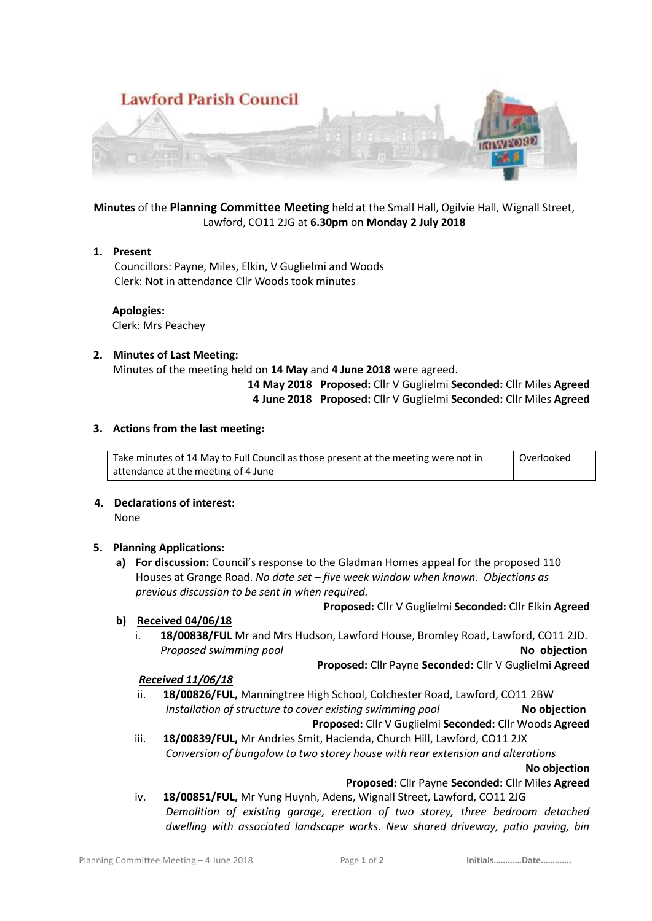

# **Minutes** of the **Planning Committee Meeting** held at the Small Hall, Ogilvie Hall, Wignall Street, Lawford, CO11 2JG at **6.30pm** on **Monday 2 July 2018**

#### **1. Present**

 Councillors: Payne, Miles, Elkin, V Guglielmi and Woods Clerk: Not in attendance Cllr Woods took minutes

 **Apologies:** Clerk: Mrs Peachey

#### **2. Minutes of Last Meeting:**

Minutes of the meeting held on **14 May** and **4 June 2018** were agreed.

 **14 May 2018 Proposed:** Cllr V Guglielmi **Seconded:** Cllr Miles **Agreed 4 June 2018 Proposed:** Cllr V Guglielmi **Seconded:** Cllr Miles **Agreed**

#### **3. Actions from the last meeting:**

Take minutes of 14 May to Full Council as those present at the meeting were not in attendance at the meeting of 4 June Overlooked

### **4. Declarations of interest:**

None

#### **5. Planning Applications:**

**a) For discussion:** Council's response to the Gladman Homes appeal for the proposed 110 Houses at Grange Road. *No date set – five week window when known. Objections as previous discussion to be sent in when required.*

#### **b) Received 04/06/18**

i. **18/00838/FUL** Mr and Mrs Hudson, Lawford House, Bromley Road, Lawford, CO11 2JD. **Proposed swimming pool** *No objection* 

**Proposed:** Cllr Payne **Seconded:** Cllr V Guglielmi **Agreed**

**Proposed:** Cllr V Guglielmi **Seconded:** Cllr Elkin **Agreed**

#### *Received 11/06/18*

ii. **18/00826/FUL,** Manningtree High School, Colchester Road, Lawford, CO11 2BW *Installation of structure to cover existing swimming pool* **No objection Proposed:** Cllr V Guglielmi **Seconded:** Cllr Woods **Agreed**

iii. **18/00839/FUL,** Mr Andries Smit, Hacienda, Church Hill, Lawford, CO11 2JX *Conversion of bungalow to two storey house with rear extension and alterations*

**No objection**

**Proposed:** Cllr Payne **Seconded:** Cllr Miles **Agreed**

iv. **18/00851/FUL,** Mr Yung Huynh, Adens, Wignall Street, Lawford, CO11 2JG *Demolition of existing garage, erection of two storey, three bedroom detached dwelling with associated landscape works. New shared driveway, patio paving, bin*